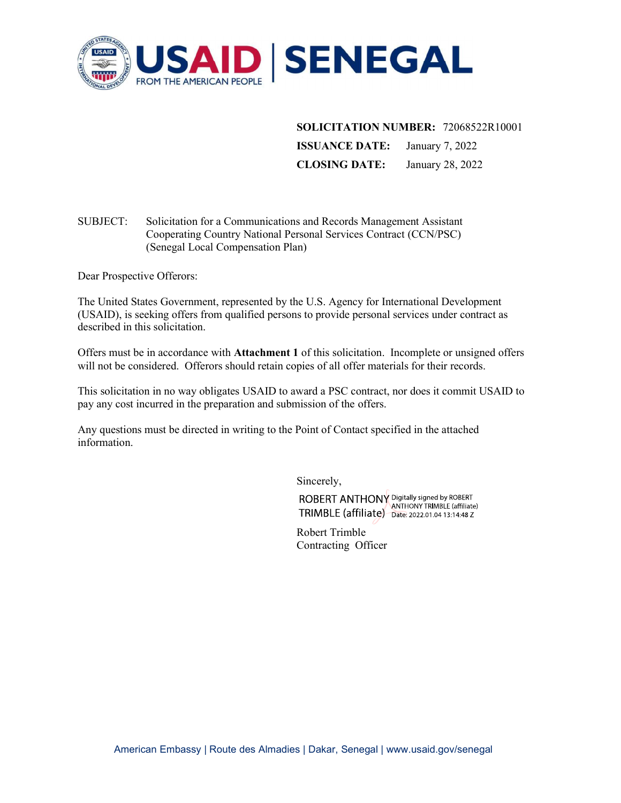

SOLICITATION NUMBER: 72068522R10001

ISSUANCE DATE: January 7, 2022 CLOSING DATE: January 28, 2022

# SUBJECT: Solicitation for a Communications and Records Management Assistant Cooperating Country National Personal Services Contract (CCN/PSC) (Senegal Local Compensation Plan)

Dear Prospective Offerors:

The United States Government, represented by the U.S. Agency for International Development (USAID), is seeking offers from qualified persons to provide personal services under contract as described in this solicitation.

Offers must be in accordance with Attachment 1 of this solicitation. Incomplete or unsigned offers will not be considered. Offerors should retain copies of all offer materials for their records.

This solicitation in no way obligates USAID to award a PSC contract, nor does it commit USAID to pay any cost incurred in the preparation and submission of the offers.

Any questions must be directed in writing to the Point of Contact specified in the attached information.

Sincerely,

ROBERT ANTHONY Digitally signed by ROBERT<br>TRIMBLE (affiliate) Date: 2022.01.04 13:14:48 Z

Robert Trimble Contracting Officer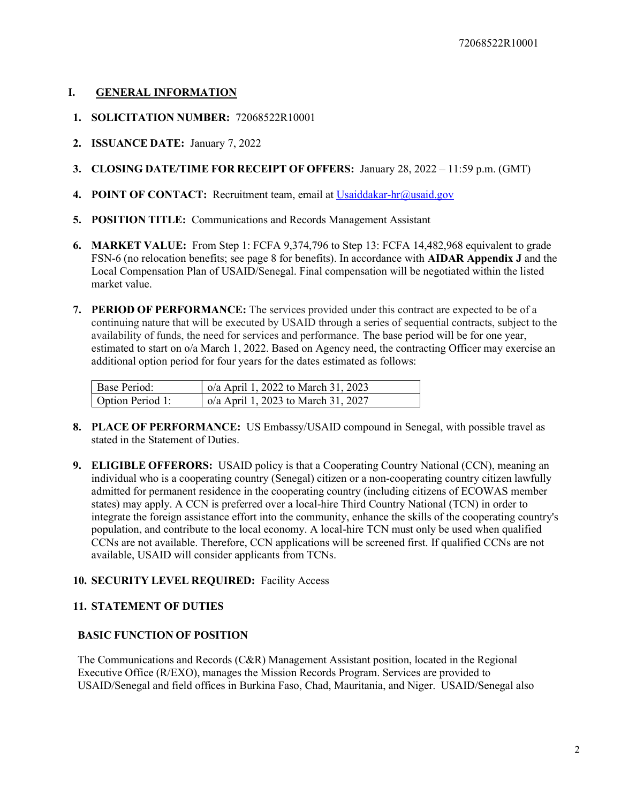### I. GENERAL INFORMATION

- 1. SOLICITATION NUMBER: 72068522R10001
- 2. ISSUANCE DATE: January 7, 2022
- 3. CLOSING DATE/TIME FOR RECEIPT OF OFFERS: January 28, 2022 11:59 p.m. (GMT)
- 4. POINT OF CONTACT: Recruitment team, email at Usaiddakar-hr@usaid.gov
- 5. POSITION TITLE: Communications and Records Management Assistant
- 6. MARKET VALUE: From Step 1: FCFA 9,374,796 to Step 13: FCFA 14,482,968 equivalent to grade FSN-6 (no relocation benefits; see page 8 for benefits). In accordance with AIDAR Appendix J and the Local Compensation Plan of USAID/Senegal. Final compensation will be negotiated within the listed market value.
- 7. PERIOD OF PERFORMANCE: The services provided under this contract are expected to be of a continuing nature that will be executed by USAID through a series of sequential contracts, subject to the availability of funds, the need for services and performance. The base period will be for one year, estimated to start on o/a March 1, 2022. Based on Agency need, the contracting Officer may exercise an additional option period for four years for the dates estimated as follows:

| Base Period:     | $\alpha$ o/a April 1, 2022 to March 31, 2023 |
|------------------|----------------------------------------------|
| Option Period 1: | $\vert$ o/a April 1, 2023 to March 31, 2027  |

- 8. PLACE OF PERFORMANCE: US Embassy/USAID compound in Senegal, with possible travel as stated in the Statement of Duties.
- 9. ELIGIBLE OFFERORS: USAID policy is that a Cooperating Country National (CCN), meaning an individual who is a cooperating country (Senegal) citizen or a non-cooperating country citizen lawfully admitted for permanent residence in the cooperating country (including citizens of ECOWAS member states) may apply. A CCN is preferred over a local-hire Third Country National (TCN) in order to integrate the foreign assistance effort into the community, enhance the skills of the cooperating country's population, and contribute to the local economy. A local-hire TCN must only be used when qualified CCNs are not available. Therefore, CCN applications will be screened first. If qualified CCNs are not available, USAID will consider applicants from TCNs.

# 10. SECURITY LEVEL REQUIRED: Facility Access

### 11. STATEMENT OF DUTIES

### BASIC FUNCTION OF POSITION

The Communications and Records (C&R) Management Assistant position, located in the Regional Executive Office (R/EXO), manages the Mission Records Program. Services are provided to USAID/Senegal and field offices in Burkina Faso, Chad, Mauritania, and Niger. USAID/Senegal also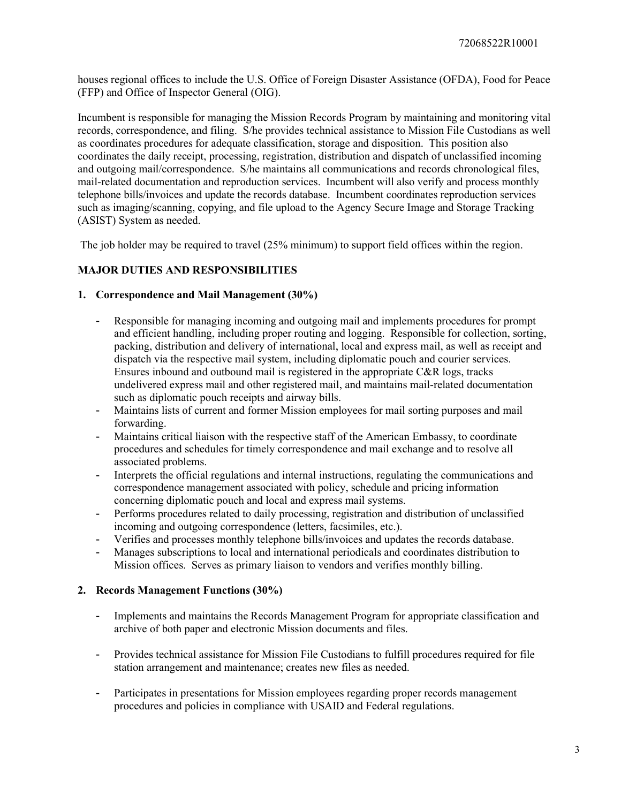houses regional offices to include the U.S. Office of Foreign Disaster Assistance (OFDA), Food for Peace (FFP) and Office of Inspector General (OIG).

Incumbent is responsible for managing the Mission Records Program by maintaining and monitoring vital records, correspondence, and filing. S/he provides technical assistance to Mission File Custodians as well as coordinates procedures for adequate classification, storage and disposition. This position also coordinates the daily receipt, processing, registration, distribution and dispatch of unclassified incoming and outgoing mail/correspondence. S/he maintains all communications and records chronological files, mail-related documentation and reproduction services. Incumbent will also verify and process monthly telephone bills/invoices and update the records database. Incumbent coordinates reproduction services such as imaging/scanning, copying, and file upload to the Agency Secure Image and Storage Tracking (ASIST) System as needed.

The job holder may be required to travel (25% minimum) to support field offices within the region.

## MAJOR DUTIES AND RESPONSIBILITIES

### 1. Correspondence and Mail Management (30%)

- Responsible for managing incoming and outgoing mail and implements procedures for prompt and efficient handling, including proper routing and logging. Responsible for collection, sorting, packing, distribution and delivery of international, local and express mail, as well as receipt and dispatch via the respective mail system, including diplomatic pouch and courier services. Ensures inbound and outbound mail is registered in the appropriate C&R logs, tracks undelivered express mail and other registered mail, and maintains mail-related documentation such as diplomatic pouch receipts and airway bills.
- Maintains lists of current and former Mission employees for mail sorting purposes and mail forwarding.
- Maintains critical liaison with the respective staff of the American Embassy, to coordinate procedures and schedules for timely correspondence and mail exchange and to resolve all associated problems.
- Interprets the official regulations and internal instructions, regulating the communications and correspondence management associated with policy, schedule and pricing information concerning diplomatic pouch and local and express mail systems.
- Performs procedures related to daily processing, registration and distribution of unclassified incoming and outgoing correspondence (letters, facsimiles, etc.).
- Verifies and processes monthly telephone bills/invoices and updates the records database.
- Manages subscriptions to local and international periodicals and coordinates distribution to Mission offices. Serves as primary liaison to vendors and verifies monthly billing.

#### 2. Records Management Functions (30%)

- Implements and maintains the Records Management Program for appropriate classification and archive of both paper and electronic Mission documents and files.
- Provides technical assistance for Mission File Custodians to fulfill procedures required for file station arrangement and maintenance; creates new files as needed.
- Participates in presentations for Mission employees regarding proper records management procedures and policies in compliance with USAID and Federal regulations.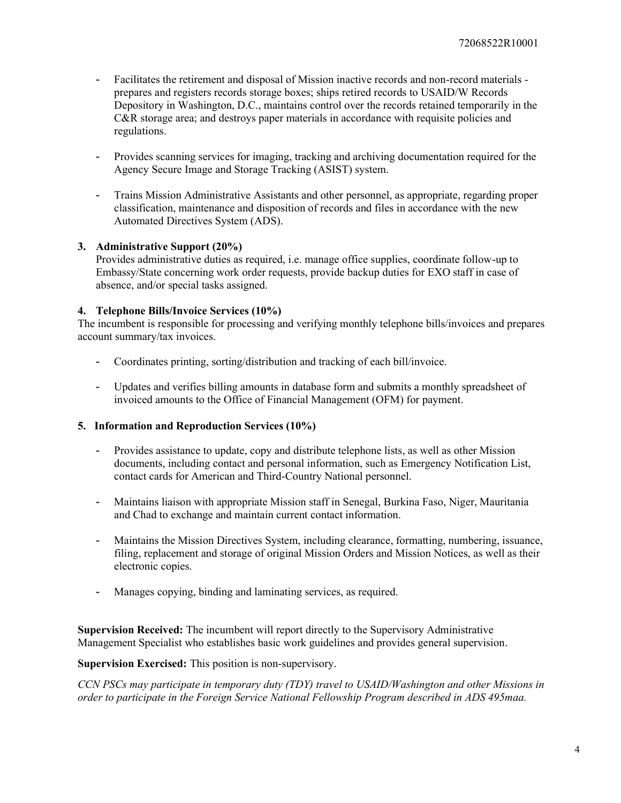- Facilitates the retirement and disposal of Mission inactive records and non-record materials prepares and registers records storage boxes; ships retired records to USAID/W Records Depository in Washington, D.C., maintains control over the records retained temporarily in the C&R storage area; and destroys paper materials in accordance with requisite policies and regulations.
- Provides scanning services for imaging, tracking and archiving documentation required for the Agency Secure Image and Storage Tracking (ASIST) system.
- Trains Mission Administrative Assistants and other personnel, as appropriate, regarding proper classification, maintenance and disposition of records and files in accordance with the new Automated Directives System (ADS).

#### 3. Administrative Support (20%)

Provides administrative duties as required, i.e. manage office supplies, coordinate follow-up to Embassy/State concerning work order requests, provide backup duties for EXO staff in case of absence, and/or special tasks assigned.

#### 4. Telephone Bills/Invoice Services (10%)

The incumbent is responsible for processing and verifying monthly telephone bills/invoices and prepares account summary/tax invoices.

- Coordinates printing, sorting/distribution and tracking of each bill/invoice.
- Updates and verifies billing amounts in database form and submits a monthly spreadsheet of invoiced amounts to the Office of Financial Management (OFM) for payment.

#### 5. Information and Reproduction Services (10%)

- Provides assistance to update, copy and distribute telephone lists, as well as other Mission documents, including contact and personal information, such as Emergency Notification List, contact cards for American and Third-Country National personnel.
- Maintains liaison with appropriate Mission staff in Senegal, Burkina Faso, Niger, Mauritania and Chad to exchange and maintain current contact information.
- Maintains the Mission Directives System, including clearance, formatting, numbering, issuance, filing, replacement and storage of original Mission Orders and Mission Notices, as well as their electronic copies.
- Manages copying, binding and laminating services, as required.

Supervision Received: The incumbent will report directly to the Supervisory Administrative Management Specialist who establishes basic work guidelines and provides general supervision.

Supervision Exercised: This position is non-supervisory.

CCN PSCs may participate in temporary duty (TDY) travel to USAID/Washington and other Missions in order to participate in the Foreign Service National Fellowship Program described in ADS 495maa.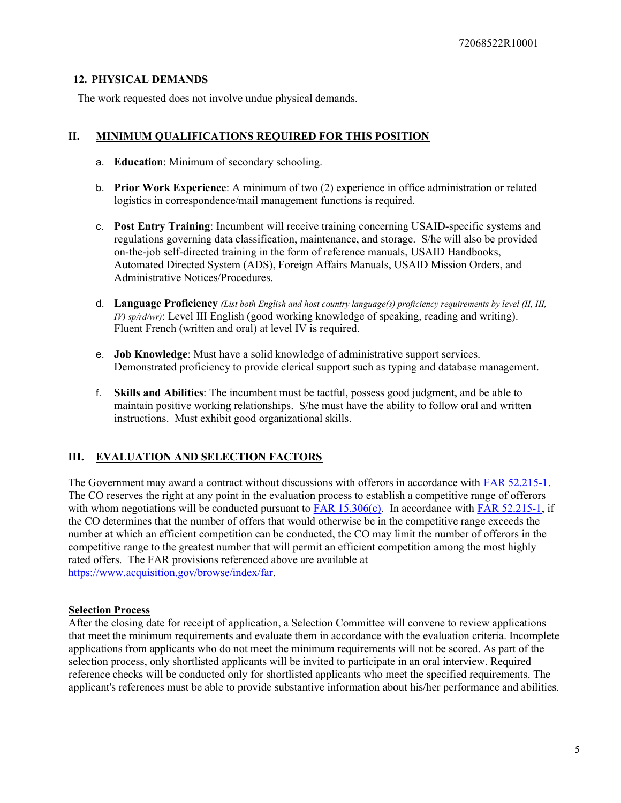### 12. PHYSICAL DEMANDS

The work requested does not involve undue physical demands.

## II. MINIMUM QUALIFICATIONS REQUIRED FOR THIS POSITION

- a. Education: Minimum of secondary schooling.
- b. Prior Work Experience: A minimum of two (2) experience in office administration or related logistics in correspondence/mail management functions is required.
- c. Post Entry Training: Incumbent will receive training concerning USAID-specific systems and regulations governing data classification, maintenance, and storage. S/he will also be provided on-the-job self-directed training in the form of reference manuals, USAID Handbooks, Automated Directed System (ADS), Foreign Affairs Manuals, USAID Mission Orders, and Administrative Notices/Procedures.
- d. Language Proficiency (List both English and host country language(s) proficiency requirements by level (II, III,  $IV$ ) sp/rd/wr): Level III English (good working knowledge of speaking, reading and writing). Fluent French (written and oral) at level IV is required.
- e. Job Knowledge: Must have a solid knowledge of administrative support services. Demonstrated proficiency to provide clerical support such as typing and database management.
- f. Skills and Abilities: The incumbent must be tactful, possess good judgment, and be able to maintain positive working relationships. S/he must have the ability to follow oral and written instructions. Must exhibit good organizational skills.

# III. EVALUATION AND SELECTION FACTORS

The Government may award a contract without discussions with offerors in accordance with FAR 52.215-1. The CO reserves the right at any point in the evaluation process to establish a competitive range of offerors with whom negotiations will be conducted pursuant to  $FAR 15.306(c)$ . In accordance with  $FAR 52.215-1$ , if the CO determines that the number of offers that would otherwise be in the competitive range exceeds the number at which an efficient competition can be conducted, the CO may limit the number of offerors in the competitive range to the greatest number that will permit an efficient competition among the most highly rated offers. The FAR provisions referenced above are available at https://www.acquisition.gov/browse/index/far.

### Selection Process

After the closing date for receipt of application, a Selection Committee will convene to review applications that meet the minimum requirements and evaluate them in accordance with the evaluation criteria. Incomplete applications from applicants who do not meet the minimum requirements will not be scored. As part of the selection process, only shortlisted applicants will be invited to participate in an oral interview. Required reference checks will be conducted only for shortlisted applicants who meet the specified requirements. The applicant's references must be able to provide substantive information about his/her performance and abilities.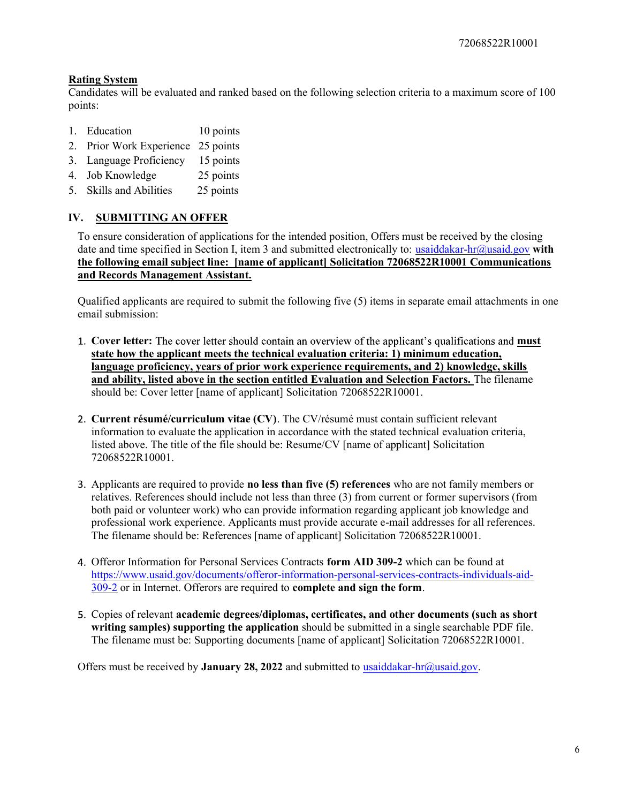## Rating System

Candidates will be evaluated and ranked based on the following selection criteria to a maximum score of 100 points:

- 1. Education 10 points
- 2. Prior Work Experience 25 points
- 3. Language Proficiency 15 points
- 4. Job Knowledge 25 points
- 5. Skills and Abilities 25 points

# IV. SUBMITTING AN OFFER

To ensure consideration of applications for the intended position, Offers must be received by the closing date and time specified in Section I, item 3 and submitted electronically to: usaiddakar-hr@usaid.gov with the following email subject line: [name of applicant] Solicitation 72068522R10001 Communications and Records Management Assistant.

Qualified applicants are required to submit the following five (5) items in separate email attachments in one email submission:

- 1. Cover letter: The cover letter should contain an overview of the applicant's qualifications and must state how the applicant meets the technical evaluation criteria: 1) minimum education, language proficiency, years of prior work experience requirements, and 2) knowledge, skills and ability, listed above in the section entitled Evaluation and Selection Factors. The filename should be: Cover letter [name of applicant] Solicitation 72068522R10001.
- 2. Current résumé/curriculum vitae (CV). The CV/résumé must contain sufficient relevant information to evaluate the application in accordance with the stated technical evaluation criteria, listed above. The title of the file should be: Resume/CV [name of applicant] Solicitation 72068522R10001.
- Applicants are required to provide no less than five (5) references who are not family members or relatives. References should include not less than three (3) from current or former supervisors (from both paid or volunteer work) who can provide information regarding applicant job knowledge and professional work experience. Applicants must provide accurate e-mail addresses for all references. The filename should be: References [name of applicant] Solicitation 72068522R10001.
- 4. Offeror Information for Personal Services Contracts form AID 309-2 which can be found at https://www.usaid.gov/documents/offeror-information-personal-services-contracts-individuals-aid-309-2 or in Internet. Offerors are required to complete and sign the form.
- 5. Copies of relevant academic degrees/diplomas, certificates, and other documents (such as short writing samples) supporting the application should be submitted in a single searchable PDF file. The filename must be: Supporting documents [name of applicant] Solicitation 72068522R10001.

Offers must be received by **January 28, 2022** and submitted to usaiddakar-hr@usaid.gov.